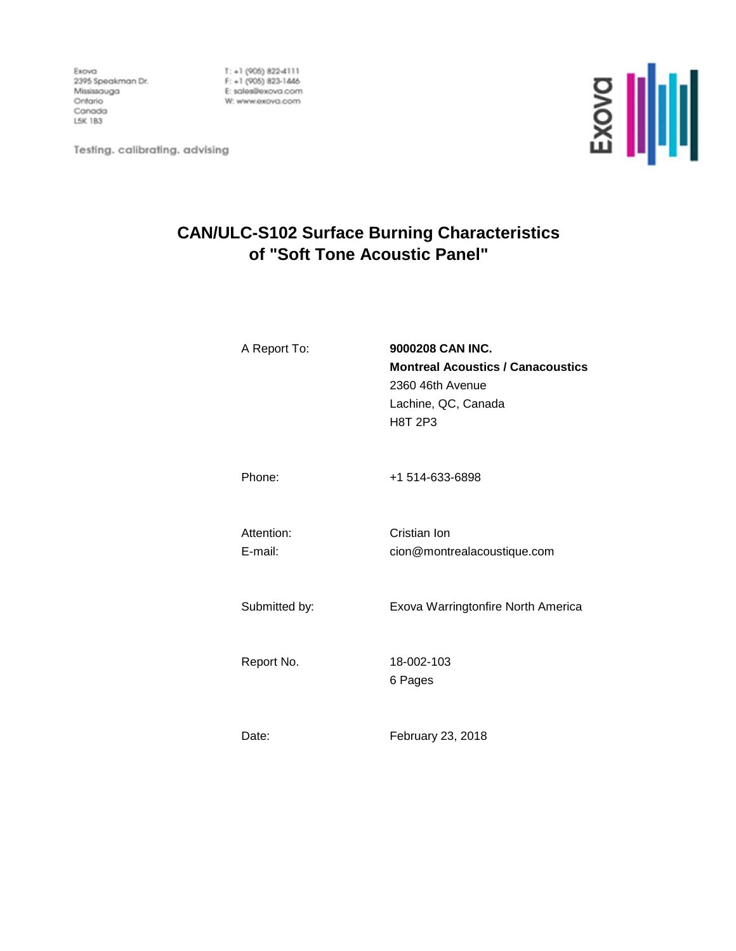Exova Exova<br>2395 Speakman Dr.<br>Mississouno Mississauga Ontario Canada L5K 1B3

 $T: +1$  (905) 822-4111 F: +1 (905) 823-1446 E: sales@exova.com W: www.exova.com



Testing. calibrating. advising

# **CAN/ULC-S102 Surface Burning Characteristics of "Soft Tone Acoustic Panel"**

| A Report To:          | 9000208 CAN INC.<br><b>Montreal Acoustics / Canacoustics</b><br>2360 46th Avenue<br>Lachine, QC, Canada<br>H8T 2P3 |
|-----------------------|--------------------------------------------------------------------------------------------------------------------|
| Phone:                | +1 514-633-6898                                                                                                    |
| Attention:<br>E-mail: | Cristian Ion<br>cion@montrealacoustique.com                                                                        |
| Submitted by:         | Exova Warringtonfire North America                                                                                 |
| Report No.            | 18-002-103<br>6 Pages                                                                                              |
|                       |                                                                                                                    |

Date: February 23, 2018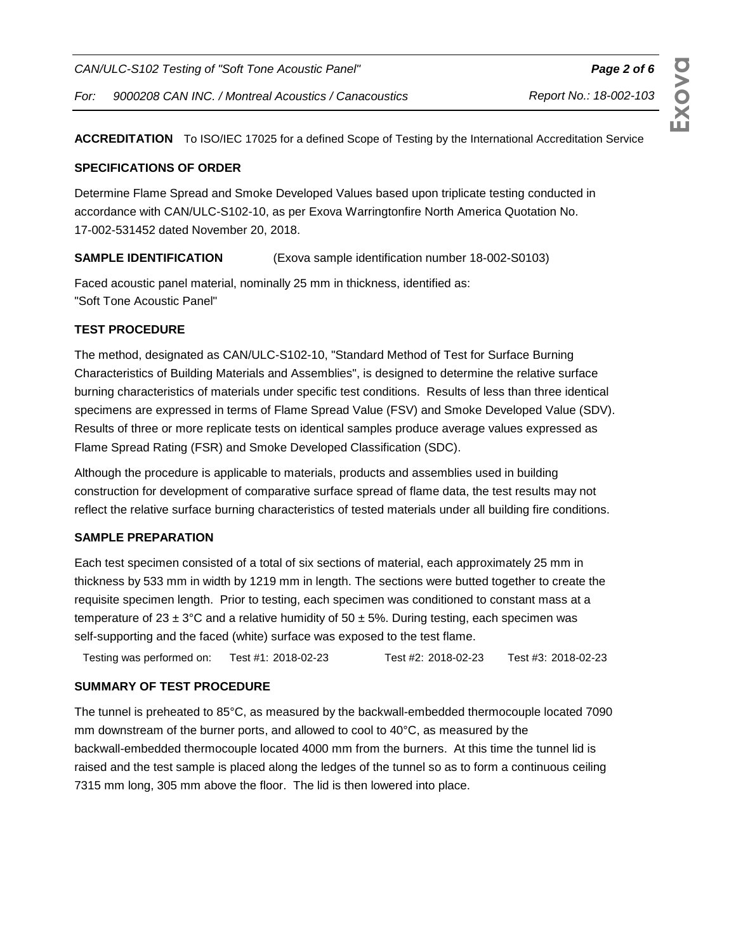**ACCREDITATION** To ISO/IEC 17025 for a defined Scope of Testing by the International Accreditation Service

#### **SPECIFICATIONS OF ORDER**

Determine Flame Spread and Smoke Developed Values based upon triplicate testing conducted in accordance with CAN/ULC-S102-10, as per Exova Warringtonfire North America Quotation No. 17-002-531452 dated November 20, 2018.

### **SAMPLE IDENTIFICATION** (Exova sample identification number 18-002-S0103)

Faced acoustic panel material, nominally 25 mm in thickness, identified as: "Soft Tone Acoustic Panel"

#### **TEST PROCEDURE**

The method, designated as CAN/ULC-S102-10, "Standard Method of Test for Surface Burning Characteristics of Building Materials and Assemblies", is designed to determine the relative surface burning characteristics of materials under specific test conditions. Results of less than three identical specimens are expressed in terms of Flame Spread Value (FSV) and Smoke Developed Value (SDV). Results of three or more replicate tests on identical samples produce average values expressed as Flame Spread Rating (FSR) and Smoke Developed Classification (SDC).

Although the procedure is applicable to materials, products and assemblies used in building construction for development of comparative surface spread of flame data, the test results may not reflect the relative surface burning characteristics of tested materials under all building fire conditions.

#### **SAMPLE PREPARATION**

Each test specimen consisted of a total of six sections of material, each approximately 25 mm in thickness by 533 mm in width by 1219 mm in length. The sections were butted together to create the requisite specimen length. Prior to testing, each specimen was conditioned to constant mass at a temperature of 23  $\pm$  3°C and a relative humidity of 50  $\pm$  5%. During testing, each specimen was self-supporting and the faced (white) surface was exposed to the test flame.

Testing was performed on: Test #1: 2018-02-23 Test #2: 2018-02-23 Test #3: 2018-02-23 2018-02-23 2018-02-23 2018-02-23

#### **SUMMARY OF TEST PROCEDURE**

The tunnel is preheated to 85°C, as measured by the backwall-embedded thermocouple located 7090 mm downstream of the burner ports, and allowed to cool to 40°C, as measured by the backwall-embedded thermocouple located 4000 mm from the burners. At this time the tunnel lid is raised and the test sample is placed along the ledges of the tunnel so as to form a continuous ceiling 7315 mm long, 305 mm above the floor. The lid is then lowered into place.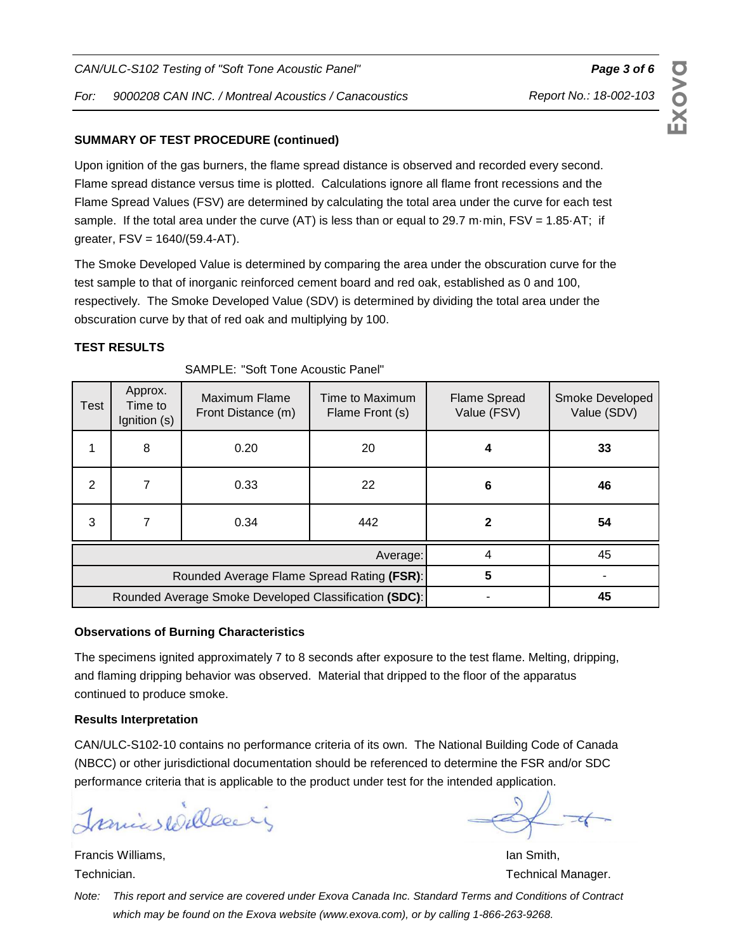#### **SUMMARY OF TEST PROCEDURE (continued)**

Upon ignition of the gas burners, the flame spread distance is observed and recorded every second. Flame spread distance versus time is plotted. Calculations ignore all flame front recessions and the Flame Spread Values (FSV) are determined by calculating the total area under the curve for each test sample. If the total area under the curve (AT) is less than or equal to 29.7 m·min,  $FSV = 1.85·AT$ ; if greater, FSV = 1640/(59.4-AT).

The Smoke Developed Value is determined by comparing the area under the obscuration curve for the test sample to that of inorganic reinforced cement board and red oak, established as 0 and 100, respectively. The Smoke Developed Value (SDV) is determined by dividing the total area under the obscuration curve by that of red oak and multiplying by 100.

#### **TEST RESULTS**

| Test                                                  | Approx.<br>Time to<br>Ignition (s) | Maximum Flame<br>Front Distance (m) | Time to Maximum<br>Flame Front (s) | <b>Flame Spread</b><br>Value (FSV) | Smoke Developed<br>Value (SDV) |
|-------------------------------------------------------|------------------------------------|-------------------------------------|------------------------------------|------------------------------------|--------------------------------|
|                                                       | 8                                  | 0.20                                | 20                                 | 4                                  | 33                             |
| 2                                                     |                                    | 0.33                                | 22                                 | 6                                  | 46                             |
| 3                                                     |                                    | 0.34                                | 442                                |                                    | 54                             |
| Average:                                              |                                    |                                     |                                    |                                    | 45                             |
| Rounded Average Flame Spread Rating (FSR):            |                                    |                                     |                                    | 5                                  |                                |
| Rounded Average Smoke Developed Classification (SDC): |                                    |                                     |                                    |                                    | 45                             |

SAMPLE: "Soft Tone Acoustic Panel"

#### **Observations of Burning Characteristics**

The specimens ignited approximately 7 to 8 seconds after exposure to the test flame. Melting, dripping, and flaming dripping behavior was observed. Material that dripped to the floor of the apparatus continued to produce smoke.

#### **Results Interpretation**

CAN/ULC-S102-10 contains no performance criteria of its own. The National Building Code of Canada (NBCC) or other jurisdictional documentation should be referenced to determine the FSR and/or SDC performance criteria that is applicable to the product under test for the intended application.

Tranics Willesein

**Francis Williams, Ian Smith, Ian Smith, Ian Smith, Ian Smith, Ian Smith, Ian Smith, Ian Smith, Ian Smith, Ian Smith, Ian Smith, Ian Smith, Ian Smith, Ian Smith, Ian Smith, Ian Smith, Ian Smith, Ian Smith, Ian Smith, Ian S** 

Technician. Technical Manager. Technical Manager.

Report No.: 18-002-103

Note: This report and service are covered under Exova Canada Inc. Standard Terms and Conditions of Contract which may be found on the Exova website (www.exova.com), or by calling 1-866-263-9268.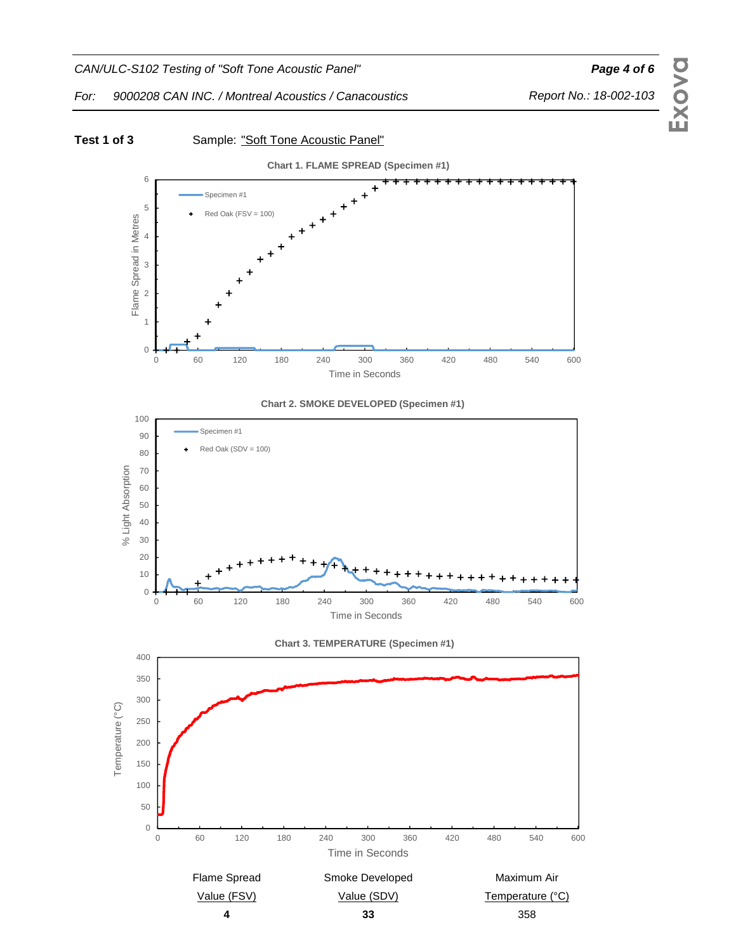

#### Test 1 of 3 Sample: "Soft Tone Acoustic Panel" **Chart 1. FLAME SPREAD (Specimen #1)** 6 Specimen #1 5  $Red$  Oak ( $FSV = 100$ ) Flame Spread in Metres Flame Spread in Metres 4 3 2 1 0 0 60 120 180 240 300 360 420 480 540 600 Time in Seconds **Chart 2. SMOKE DEVELOPED (Specimen #1)** 100 Specimen #1 90  $Red$  Oak (SDV = 100) 80 % Light Absorption % Light Absorption 70 60 50 40 30





# **Exova**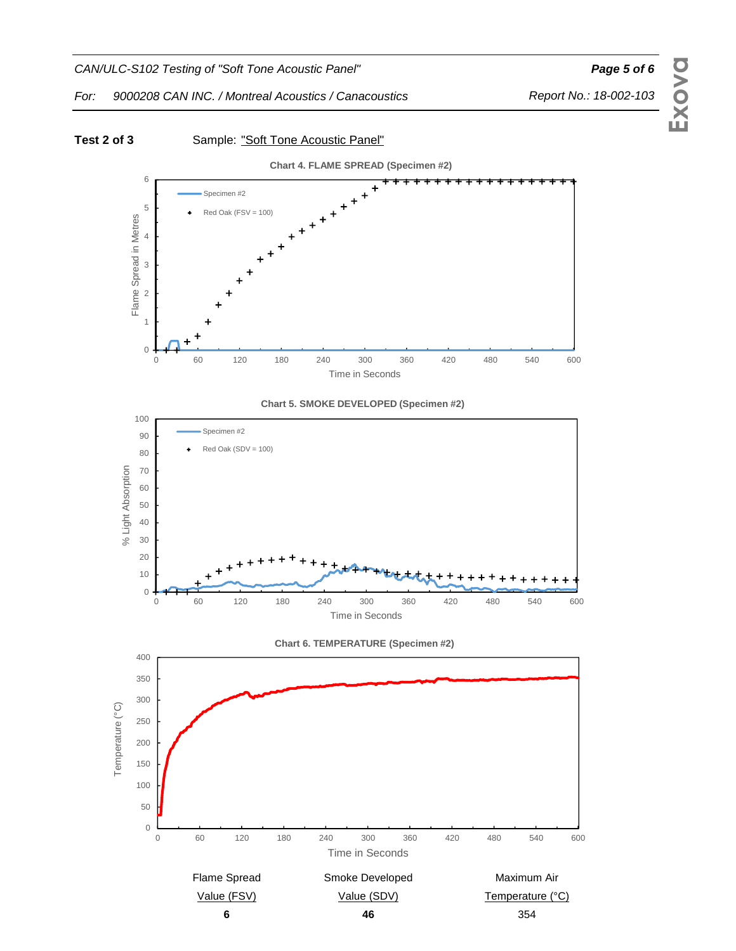

Report No.: 18-002-103

**Exova**

For: 9000208 CAN INC. / Montreal Acoustics / Canacoustics



## **6** 354